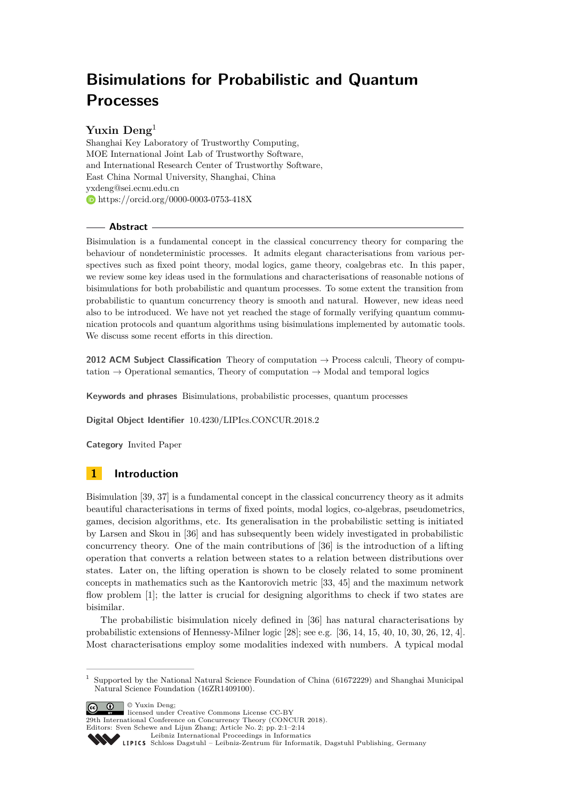# **Bisimulations for Probabilistic and Quantum Processes**

# **Yuxin Deng**<sup>1</sup>

Shanghai Key Laboratory of Trustworthy Computing, MOE International Joint Lab of Trustworthy Software, and International Research Center of Trustworthy Software, East China Normal University, Shanghai, China [yxdeng@sei.ecnu.edu.cn](mailto:yxdeng@sei.ecnu.edu.cn) <https://orcid.org/0000-0003-0753-418X>

## **Abstract**

Bisimulation is a fundamental concept in the classical concurrency theory for comparing the behaviour of nondeterministic processes. It admits elegant characterisations from various perspectives such as fixed point theory, modal logics, game theory, coalgebras etc. In this paper, we review some key ideas used in the formulations and characterisations of reasonable notions of bisimulations for both probabilistic and quantum processes. To some extent the transition from probabilistic to quantum concurrency theory is smooth and natural. However, new ideas need also to be introduced. We have not yet reached the stage of formally verifying quantum communication protocols and quantum algorithms using bisimulations implemented by automatic tools. We discuss some recent efforts in this direction.

**2012 ACM Subject Classification** Theory of computation → Process calculi, Theory of computation  $\rightarrow$  Operational semantics, Theory of computation  $\rightarrow$  Modal and temporal logics

**Keywords and phrases** Bisimulations, probabilistic processes, quantum processes

**Digital Object Identifier** [10.4230/LIPIcs.CONCUR.2018.2](http://dx.doi.org/10.4230/LIPIcs.CONCUR.2018.2)

**Category** Invited Paper

# **1 Introduction**

Bisimulation [\[39,](#page-12-0) [37\]](#page-12-1) is a fundamental concept in the classical concurrency theory as it admits beautiful characterisations in terms of fixed points, modal logics, co-algebras, pseudometrics, games, decision algorithms, etc. Its generalisation in the probabilistic setting is initiated by Larsen and Skou in [\[36\]](#page-12-2) and has subsequently been widely investigated in probabilistic concurrency theory. One of the main contributions of [\[36\]](#page-12-2) is the introduction of a lifting operation that converts a relation between states to a relation between distributions over states. Later on, the lifting operation is shown to be closely related to some prominent concepts in mathematics such as the Kantorovich metric [\[33,](#page-12-3) [45\]](#page-13-0) and the maximum network flow problem [\[1\]](#page-11-0); the latter is crucial for designing algorithms to check if two states are bisimilar.

The probabilistic bisimulation nicely defined in [\[36\]](#page-12-2) has natural characterisations by probabilistic extensions of Hennessy-Milner logic [\[28\]](#page-12-4); see e.g. [\[36,](#page-12-2) [14,](#page-11-1) [15,](#page-11-2) [40,](#page-12-5) [10,](#page-11-3) [30,](#page-12-6) [26,](#page-12-7) [12,](#page-11-4) [4\]](#page-11-5). Most characterisations employ some modalities indexed with numbers. A typical modal

© Yuxin Deng;

licensed under Creative Commons License CC-BY 29th International Conference on Concurrency Theory (CONCUR 2018). Editors: Sven Schewe and Lijun Zhang; Article No. 2; pp. 2:1–2[:14](#page-13-1)

[Leibniz International Proceedings in Informatics](http://www.dagstuhl.de/lipics/)

Leibniz international Froceedings in missimosischer Magstuhl Publishing, Germany<br>LIPICS [Schloss Dagstuhl – Leibniz-Zentrum für Informatik, Dagstuhl Publishing, Germany](http://www.dagstuhl.de)

<sup>1</sup> Supported by the National Natural Science Foundation of China (61672229) and Shanghai Municipal Natural Science Foundation (16ZR1409100).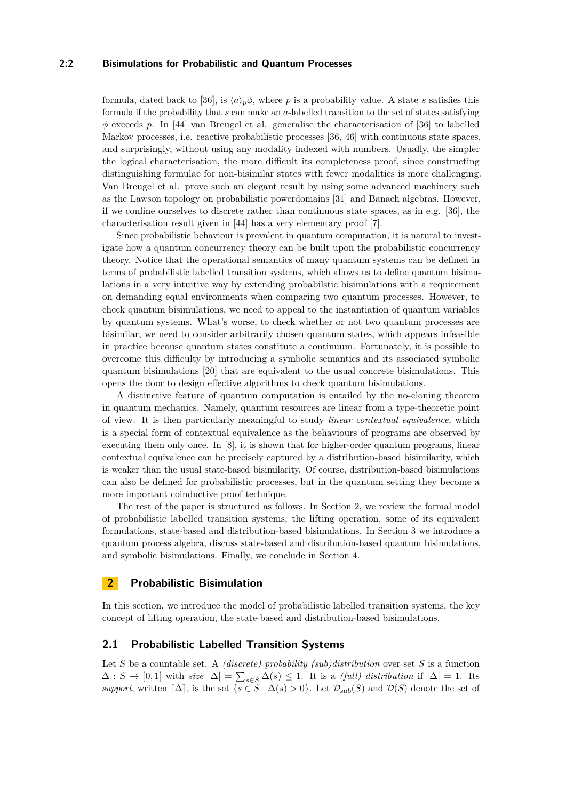## **2:2 Bisimulations for Probabilistic and Quantum Processes**

formula, dated back to [\[36\]](#page-12-2), is  $\langle a \rangle_p \phi$ , where *p* is a probability value. A state *s* satisfies this formula if the probability that *s* can make an *a*-labelled transition to the set of states satisfying *φ* exceeds *p*. In [\[44\]](#page-13-2) van Breugel et al. generalise the characterisation of [\[36\]](#page-12-2) to labelled Markov processes, i.e. reactive probabilistic processes [\[36,](#page-12-2) [46\]](#page-13-3) with continuous state spaces, and surprisingly, without using any modality indexed with numbers. Usually, the simpler the logical characterisation, the more difficult its completeness proof, since constructing distinguishing formulae for non-bisimilar states with fewer modalities is more challenging. Van Breugel et al. prove such an elegant result by using some advanced machinery such as the Lawson topology on probabilistic powerdomains [\[31\]](#page-12-8) and Banach algebras. However, if we confine ourselves to discrete rather than continuous state spaces, as in e.g. [\[36\]](#page-12-2), the characterisation result given in [\[44\]](#page-13-2) has a very elementary proof [\[7\]](#page-11-6).

Since probabilistic behaviour is prevalent in quantum computation, it is natural to investigate how a quantum concurrency theory can be built upon the probabilistic concurrency theory. Notice that the operational semantics of many quantum systems can be defined in terms of probabilistic labelled transition systems, which allows us to define quantum bisimulations in a very intuitive way by extending probabilstic bisimulations with a requirement on demanding equal environments when comparing two quantum processes. However, to check quantum bisimulations, we need to appeal to the instantiation of quantum variables by quantum systems. What's worse, to check whether or not two quantum processes are bisimilar, we need to consider arbitrarily chosen quantum states, which appears infeasible in practice because quantum states constitute a continuum. Fortunately, it is possible to overcome this difficulty by introducing a symbolic semantics and its associated symbolic quantum bisimulations [\[20\]](#page-12-9) that are equivalent to the usual concrete bisimulations. This opens the door to design effective algorithms to check quantum bisimulations.

A distinctive feature of quantum computation is entailed by the no-cloning theorem in quantum mechanics. Namely, quantum resources are linear from a type-theoretic point of view. It is then particularly meaningful to study *linear contextual equivalence*, which is a special form of contextual equivalence as the behaviours of programs are observed by executing them only once. In [\[8\]](#page-11-7), it is shown that for higher-order quantum programs, linear contextual equivalence can be precisely captured by a distribution-based bisimilarity, which is weaker than the usual state-based bisimilarity. Of course, distribution-based bisimulations can also be defined for probabilistic processes, but in the quantum setting they become a more important coinductive proof technique.

The rest of the paper is structured as follows. In Section [2,](#page-1-0) we review the formal model of probabilistic labelled transition systems, the lifting operation, some of its equivalent formulations, state-based and distribution-based bisimulations. In Section [3](#page-6-0) we introduce a quantum process algebra, discuss state-based and distribution-based quantum bisimulations, and symbolic bisimulations. Finally, we conclude in Section [4.](#page-10-0)

## <span id="page-1-0"></span>**2 Probabilistic Bisimulation**

In this section, we introduce the model of probabilistic labelled transition systems, the key concept of lifting operation, the state-based and distribution-based bisimulations.

## **2.1 Probabilistic Labelled Transition Systems**

Let *S* be a countable set. A *(discrete) probability (sub)distribution* over set *S* is a function  $\Delta: S \to [0,1]$  with  $size |\Delta| = \sum_{s \in S} \Delta(s) \leq 1$ . It is a *(full) distribution* if  $|\Delta| = 1$ . Its *support*, written  $[\Delta]$ , is the set  $\{s \in S \mid \Delta(s) > 0\}$ . Let  $\mathcal{D}_{sub}(S)$  and  $\mathcal{D}(S)$  denote the set of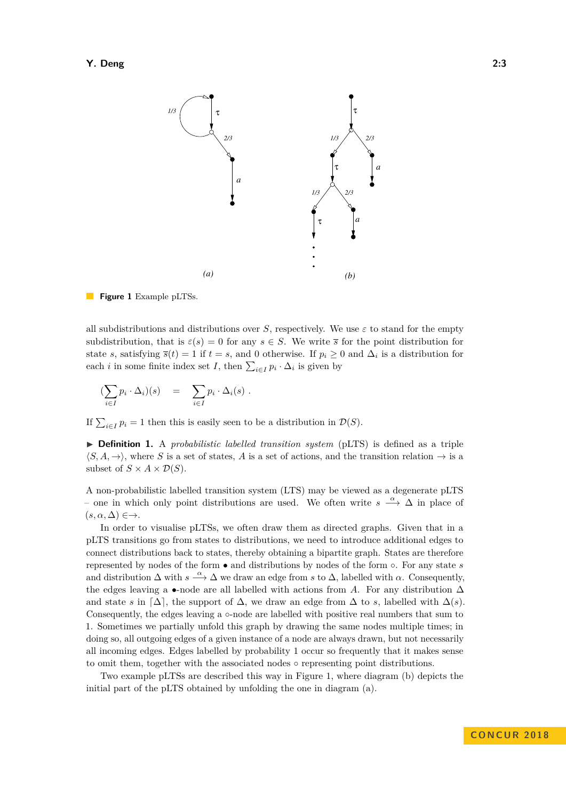<span id="page-2-0"></span>

 $\mathcal{L}_{\mathcal{A}}$ **Figure 1** Example pLTSs.

all subdistributions and distributions over *S*, respectively. We use  $\varepsilon$  to stand for the empty subdistribution, that is  $\varepsilon(s) = 0$  for any  $s \in S$ . We write  $\overline{s}$  for the point distribution for state *s*, satisfying  $\bar{s}(t) = 1$  if  $t = s$ , and 0 otherwise. If  $p_i \geq 0$  and  $\Delta_i$  is a distribution for each *i* in some finite index set *I*, then  $\sum_{i \in I} p_i \cdot \Delta_i$  is given by

$$
\left(\sum_{i\in I} p_i \cdot \Delta_i\right)(s) = \sum_{i\in I} p_i \cdot \Delta_i(s) .
$$

If  $\sum_{i\in I} p_i = 1$  then this is easily seen to be a distribution in  $\mathcal{D}(S)$ .

I **Definition 1.** A *probabilistic labelled transition system* (pLTS) is defined as a triple  $\langle S, A, \rightarrow \rangle$ , where *S* is a set of states, *A* is a set of actions, and the transition relation  $\rightarrow$  is a subset of  $S \times A \times \mathcal{D}(S)$ .

A non-probabilistic labelled transition system (LTS) may be viewed as a degenerate pLTS – one in which only point distributions are used. We often write *s <sup>α</sup>*−→ ∆ in place of  $(s, \alpha, \Delta) \in \rightarrow$ .

In order to visualise pLTSs, we often draw them as directed graphs. Given that in a pLTS transitions go from states to distributions, we need to introduce additional edges to connect distributions back to states, thereby obtaining a bipartite graph. States are therefore represented by nodes of the form • and distributions by nodes of the form ◦. For any state *s* and distribution  $\Delta$  with  $s \stackrel{\alpha}{\longrightarrow} \Delta$  we draw an edge from *s* to  $\Delta$ , labelled with  $\alpha$ . Consequently, the edges leaving a •-node are all labelled with actions from *A*. For any distribution  $\Delta$ and state *s* in  $\lceil \Delta \rceil$ , the support of  $\Delta$ , we draw an edge from  $\Delta$  to *s*, labelled with  $\Delta(s)$ . Consequently, the edges leaving a ◦-node are labelled with positive real numbers that sum to 1. Sometimes we partially unfold this graph by drawing the same nodes multiple times; in doing so, all outgoing edges of a given instance of a node are always drawn, but not necessarily all incoming edges. Edges labelled by probability 1 occur so frequently that it makes sense to omit them, together with the associated nodes ◦ representing point distributions.

Two example pLTSs are described this way in Figure [1,](#page-2-0) where diagram (b) depicts the initial part of the pLTS obtained by unfolding the one in diagram (a).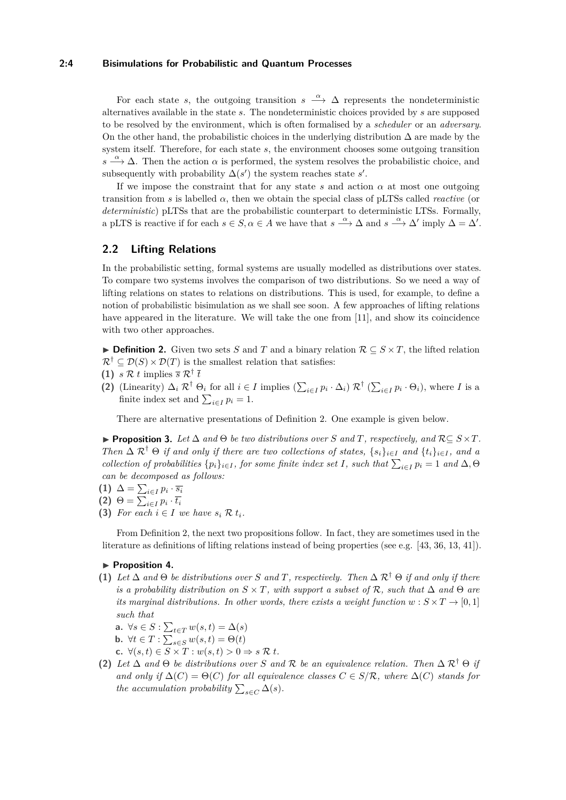#### **2:4 Bisimulations for Probabilistic and Quantum Processes**

For each state *s*, the outgoing transition  $s \stackrel{\alpha}{\longrightarrow} \Delta$  represents the nondeterministic alternatives available in the state *s*. The nondeterministic choices provided by *s* are supposed to be resolved by the environment, which is often formalised by a *scheduler* or an *adversary*. On the other hand, the probabilistic choices in the underlying distribution  $\Delta$  are made by the system itself. Therefore, for each state *s*, the environment chooses some outgoing transition  $s \stackrel{\alpha}{\longrightarrow} \Delta$ . Then the action  $\alpha$  is performed, the system resolves the probabilistic choice, and subsequently with probability  $\Delta(s')$  the system reaches state *s'*.

If we impose the constraint that for any state  $s$  and action  $\alpha$  at most one outgoing transition from *s* is labelled *α*, then we obtain the special class of pLTSs called *reactive* (or *deterministic*) pLTSs that are the probabilistic counterpart to deterministic LTSs. Formally, a pLTS is reactive if for each  $s \in S$ ,  $\alpha \in A$  we have that  $s \stackrel{\alpha}{\longrightarrow} \Delta$  and  $s \stackrel{\alpha}{\longrightarrow} \Delta'$  imply  $\Delta = \Delta'$ .

## <span id="page-3-1"></span>**2.2 Lifting Relations**

In the probabilistic setting, formal systems are usually modelled as distributions over states. To compare two systems involves the comparison of two distributions. So we need a way of lifting relations on states to relations on distributions. This is used, for example, to define a notion of probabilistic bisimulation as we shall see soon. A few approaches of lifting relations have appeared in the literature. We will take the one from [\[11\]](#page-11-8), and show its coincidence with two other approaches.

<span id="page-3-0"></span>**► Definition 2.** Given two sets *S* and *T* and a binary relation  $\mathcal{R} \subseteq S \times T$ , the lifted relation  $\mathcal{R}^{\dagger} \subseteq \mathcal{D}(S) \times \mathcal{D}(T)$  is the smallest relation that satisfies:

- **(1)**  $s \mathcal{R} t$  implies  $\overline{s} \mathcal{R}^{\dagger} \overline{t}$
- (2) (Linearity)  $\Delta_i \mathcal{R}^\dagger \Theta_i$  for all  $i \in I$  implies  $\left( \sum_{i \in I} p_i \cdot \Delta_i \right) \mathcal{R}^\dagger \left( \sum_{i \in I} p_i \cdot \Theta_i \right)$ , where *I* is a finite index set and  $\sum_{i \in I} p_i = 1$ .

There are alternative presentations of Definition [2.](#page-3-0) One example is given below.

**► Proposition 3.** Let  $\Delta$  and  $\Theta$  be two distributions over *S* and *T*, respectively, and  $\mathcal{R} \subseteq S \times T$ . *Then*  $\Delta \mathcal{R}^{\dagger} \Theta$  *if and only if there are two collections of states,*  $\{s_i\}_{i\in I}$  *and*  $\{t_i\}_{i\in I}$ *, and a collection of probabilities*  $\{p_i\}_{i \in I}$ *, for some finite index set I, such that*  $\sum_{i \in I} p_i = 1$  *and*  $\Delta$ *,*  $\Theta$ *can be decomposed as follows:*

$$
(1) \ \Delta = \sum_{i \in I} p_i \cdot \overline{s_i}
$$

**(2)**  $\Theta = \sum_{i \in I} p_i \cdot \overline{t_i}$ 

**(3)** For each  $i \in I$  we have  $s_i \nvert R$   $t_i$ .

From Definition [2,](#page-3-0) the next two propositions follow. In fact, they are sometimes used in the literature as definitions of lifting relations instead of being properties (see e.g. [\[43,](#page-13-4) [36,](#page-12-2) [13,](#page-11-9) [41\]](#page-12-10)).

## **Proposition 4.**

**(1)** *Let*  $\Delta$  *and*  $\Theta$  *be distributions over S and T*, *respectively. Then*  $\Delta$   $\mathcal{R}^{\dagger}$   $\Theta$  *if and only if there is a probability distribution on*  $S \times T$ *, with support a subset of* R, such that  $\Delta$  and  $\Theta$  are *its marginal distributions. In other words, there exists a weight function*  $w : S \times T \rightarrow [0, 1]$ *such that*

a. 
$$
\forall s \in S : \sum_{t \in T} w(s, t) = \Delta(s)
$$

- **b.**  $\forall t \in T : \sum_{s \in S} w(s, t) = \Theta(t)$
- **c.** ∀(*s, t*) ∈ *S* × *T* : *w*(*s, t*) *>* 0 ⇒ *s* R *t.*
- **(2)** Let  $\Delta$  and  $\Theta$  be distributions over S and R be an equivalence relation. Then  $\Delta$   $\mathcal{R}^{\dagger}$   $\Theta$  if *and only if*  $\Delta(C) = \Theta(C)$  *for all equivalence classes*  $C \in S/R$ *, where*  $\Delta(C)$  *stands for the accumulation probability*  $\sum_{s \in C} \Delta(s)$ *.*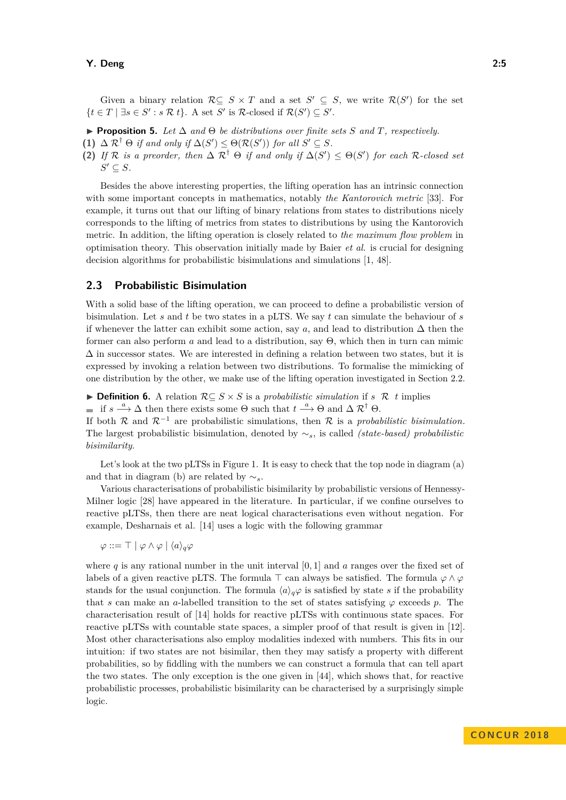Given a binary relation  $\mathcal{R} \subseteq S \times T$  and a set  $S' \subseteq S$ , we write  $\mathcal{R}(S')$  for the set  $\{t \in T \mid \exists s \in S' : s \mathcal{R} t\}$ . A set *S'* is  $\mathcal{R}\text{-closed if } \mathcal{R}(S') \subseteq S'.$ 

- I **Proposition 5.** *Let* ∆ *and* Θ *be distributions over finite sets S and T, respectively.*
- **(1)**  $\Delta \mathcal{R}^{\dagger} \Theta$  *if and only if*  $\Delta(S') \leq \Theta(\mathcal{R}(S'))$  *for all*  $S' \subseteq S$ *.*
- **(2)** *If*  $\mathcal{R}$  *is a preorder, then*  $\Delta \mathcal{R}^{\dagger} \Theta$  *if and only if*  $\Delta(S') \leq \Theta(S')$  *for each*  $\mathcal{R}$ *-closed set*  $S' \subseteq S$ *.*

Besides the above interesting properties, the lifting operation has an intrinsic connection with some important concepts in mathematics, notably *the Kantorovich metric* [\[33\]](#page-12-3). For example, it turns out that our lifting of binary relations from states to distributions nicely corresponds to the lifting of metrics from states to distributions by using the Kantorovich metric. In addition, the lifting operation is closely related to *the maximum flow problem* in optimisation theory. This observation initially made by Baier *et al.* is crucial for designing decision algorithms for probabilistic bisimulations and simulations [\[1,](#page-11-0) [48\]](#page-13-5).

## **2.3 Probabilistic Bisimulation**

With a solid base of the lifting operation, we can proceed to define a probabilistic version of bisimulation. Let *s* and *t* be two states in a pLTS. We say *t* can simulate the behaviour of *s* if whenever the latter can exhibit some action, say *a*, and lead to distribution  $\Delta$  then the former can also perform *a* and lead to a distribution, say Θ, which then in turn can mimic  $\Delta$  in successor states. We are interested in defining a relation between two states, but it is expressed by invoking a relation between two distributions. To formalise the mimicking of one distribution by the other, we make use of the lifting operation investigated in Section [2.2.](#page-3-1)

<span id="page-4-0"></span>**► Definition 6.** A relation  $R ⊆ S \times S$  is a *probabilistic simulation* if *s* R *t* implies

if  $s \stackrel{a}{\longrightarrow} \Delta$  then there exists some  $\Theta$  such that  $t \stackrel{a}{\longrightarrow} \Theta$  and  $\Delta R^{\dagger} \Theta$ .

If both  $\mathcal R$  and  $\mathcal R^{-1}$  are probabilistic simulations, then  $\mathcal R$  is a *probabilistic bisimulation*. The largest probabilistic bisimulation, denoted by ∼*s*, is called *(state-based) probabilistic bisimilarity*.

Let's look at the two pLTSs in Figure [1.](#page-2-0) It is easy to check that the top node in diagram (a) and that in diagram (b) are related by ∼*s*.

Various characterisations of probabilistic bisimilarity by probabilistic versions of Hennessy-Milner logic [\[28\]](#page-12-4) have appeared in the literature. In particular, if we confine ourselves to reactive pLTSs, then there are neat logical characterisations even without negation. For example, Desharnais et al. [\[14\]](#page-11-1) uses a logic with the following grammar

 $\varphi ::= \top | \varphi \wedge \varphi | \langle a \rangle_a \varphi$ 

where  $q$  is any rational number in the unit interval  $[0,1]$  and  $q$  ranges over the fixed set of labels of a given reactive pLTS. The formula  $\top$  can always be satisfied. The formula  $\varphi \wedge \varphi$ stands for the usual conjunction. The formula  $\langle a \rangle_q \varphi$  is satisfied by state *s* if the probability that *s* can make an *a*-labelled transition to the set of states satisfying  $\varphi$  exceeds *p*. The characterisation result of [\[14\]](#page-11-1) holds for reactive pLTSs with continuous state spaces. For reactive pLTSs with countable state spaces, a simpler proof of that result is given in [\[12\]](#page-11-4). Most other characterisations also employ modalities indexed with numbers. This fits in our intuition: if two states are not bisimilar, then they may satisfy a property with different probabilities, so by fiddling with the numbers we can construct a formula that can tell apart the two states. The only exception is the one given in [\[44\]](#page-13-2), which shows that, for reactive probabilistic processes, probabilistic bisimilarity can be characterised by a surprisingly simple logic.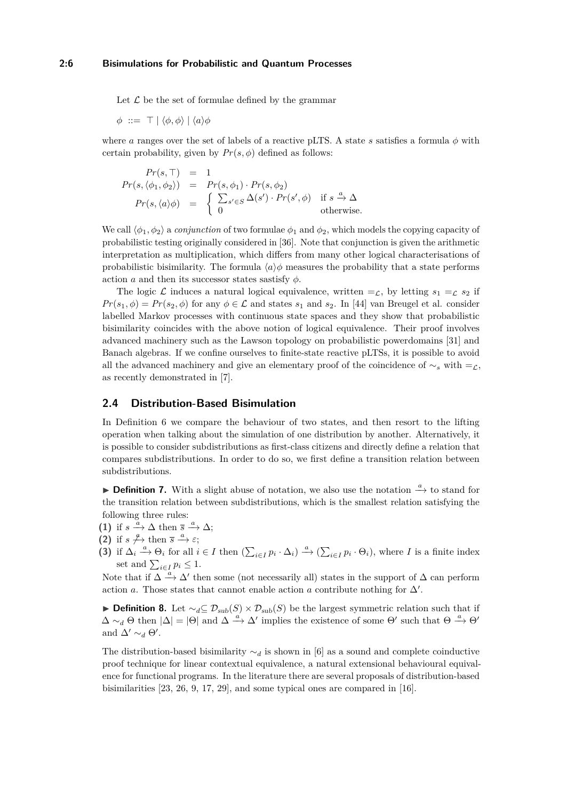Let  $\mathcal L$  be the set of formulae defined by the grammar

$$
\phi \ ::= \ \top \ | \ \langle \phi, \phi \rangle \ | \ \langle a \rangle \phi
$$

where *a* ranges over the set of labels of a reactive pLTS. A state *s* satisfies a formula  $\phi$  with certain probability, given by  $Pr(s, \phi)$  defined as follows:

$$
Pr(s, \top) = 1
$$
  
\n
$$
Pr(s, \langle \phi_1, \phi_2 \rangle) = Pr(s, \phi_1) \cdot Pr(s, \phi_2)
$$
  
\n
$$
Pr(s, \langle a \rangle \phi) = \begin{cases} \sum_{s' \in S} \Delta(s') \cdot Pr(s', \phi) & \text{if } s \xrightarrow{a} \Delta \\ 0 & \text{otherwise.} \end{cases}
$$

We call  $\langle \phi_1, \phi_2 \rangle$  a *conjunction* of two formulae  $\phi_1$  and  $\phi_2$ , which models the copying capacity of probabilistic testing originally considered in [\[36\]](#page-12-2). Note that conjunction is given the arithmetic interpretation as multiplication, which differs from many other logical characterisations of probabilistic bisimilarity. The formula  $\langle a \rangle \phi$  measures the probability that a state performs action *a* and then its successor states sastisfy  $\phi$ .

The logic L induces a natural logical equivalence, written  $=\mathcal{L}$ , by letting  $s_1 = \mathcal{L} s_2$  if  $Pr(s_1, \phi) = Pr(s_2, \phi)$  for any  $\phi \in \mathcal{L}$  and states  $s_1$  and  $s_2$ . In [\[44\]](#page-13-2) van Breugel et al. consider labelled Markov processes with continuous state spaces and they show that probabilistic bisimilarity coincides with the above notion of logical equivalence. Their proof involves advanced machinery such as the Lawson topology on probabilistic powerdomains [\[31\]](#page-12-8) and Banach algebras. If we confine ourselves to finite-state reactive pLTSs, it is possible to avoid all the advanced machinery and give an elementary proof of the coincidence of  $\sim$ <sub>*s*</sub> with =<sub> $\mathcal{L}$ ,</sub> as recently demonstrated in [\[7\]](#page-11-6).

#### <span id="page-5-0"></span>**2.4 Distribution-Based Bisimulation**

In Definition [6](#page-4-0) we compare the behaviour of two states, and then resort to the lifting operation when talking about the simulation of one distribution by another. Alternatively, it is possible to consider subdistributions as first-class citizens and directly define a relation that compares subdistributions. In order to do so, we first define a transition relation between subdistributions.

**I Definition 7.** With a slight abuse of notation, we also use the notation  $\frac{a}{r}$  to stand for the transition relation between subdistributions, which is the smallest relation satisfying the following three rules:

- (1) if  $s \stackrel{a}{\longrightarrow} \Delta$  then  $\overline{s} \stackrel{a}{\longrightarrow} \Delta$ ;
- **(2)** if  $s \nrightarrow{\alpha}$  then  $\overline{s} \stackrel{a}{\rightarrow} \varepsilon$ ;
- (3) if  $\Delta_i \stackrel{a}{\longrightarrow} \Theta_i$  for all  $i \in I$  then  $\left(\sum_{i \in I} p_i \cdot \Delta_i\right) \stackrel{a}{\longrightarrow} \left(\sum_{i \in I} p_i \cdot \Theta_i\right)$ , where I is a finite index set and  $\sum_{i \in I} p_i \leq 1$ .

Note that if  $\Delta \stackrel{a}{\longrightarrow} \Delta'$  then some (not necessarily all) states in the support of  $\Delta$  can perform action *a*. Those states that cannot enable action *a* contribute nothing for  $\Delta'$ .

**Definition 8.** Let  $\sim_d$ ⊆  $\mathcal{D}_{sub}(S) \times \mathcal{D}_{sub}(S)$  be the largest symmetric relation such that if  $\Delta \sim_d \Theta$  then  $|\Delta| = |\Theta|$  and  $\Delta \stackrel{a}{\rightarrow} \Delta'$  implies the existence of some  $\Theta'$  such that  $\Theta \stackrel{a}{\rightarrow} \Theta'$ and  $\Delta' \sim_d \Theta'$ .

The distribution-based bisimilarity  $\sim_d$  is shown in [\[6\]](#page-11-10) as a sound and complete coinductive proof technique for linear contextual equivalence, a natural extensional behavioural equivalence for functional programs. In the literature there are several proposals of distribution-based bisimilarities [\[23,](#page-12-11) [26,](#page-12-7) [9,](#page-11-11) [17,](#page-11-12) [29\]](#page-12-12), and some typical ones are compared in [\[16\]](#page-11-13).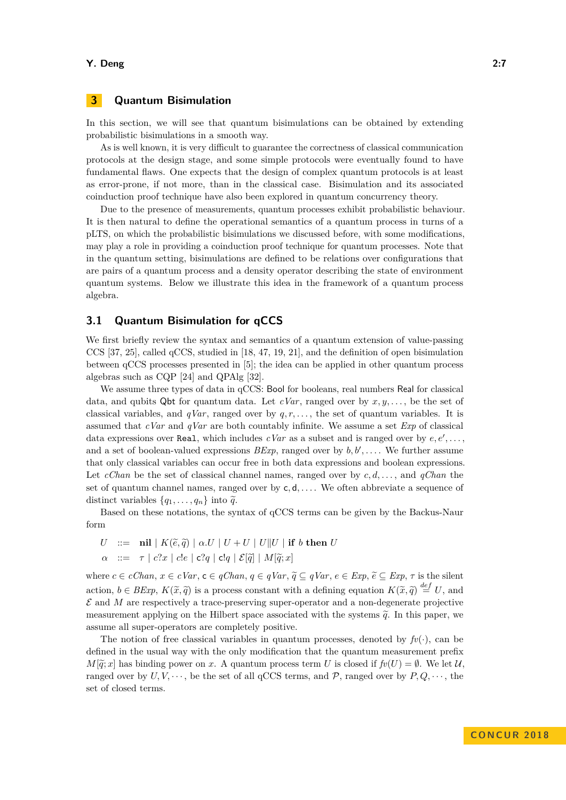#### **Y. Deng 2:7**

# <span id="page-6-0"></span>**3 Quantum Bisimulation**

In this section, we will see that quantum bisimulations can be obtained by extending probabilistic bisimulations in a smooth way.

As is well known, it is very difficult to guarantee the correctness of classical communication protocols at the design stage, and some simple protocols were eventually found to have fundamental flaws. One expects that the design of complex quantum protocols is at least as error-prone, if not more, than in the classical case. Bisimulation and its associated coinduction proof technique have also been explored in quantum concurrency theory.

Due to the presence of measurements, quantum processes exhibit probabilistic behaviour. It is then natural to define the operational semantics of a quantum process in turns of a pLTS, on which the probabilistic bisimulations we discussed before, with some modifications, may play a role in providing a coinduction proof technique for quantum processes. Note that in the quantum setting, bisimulations are defined to be relations over configurations that are pairs of a quantum process and a density operator describing the state of environment quantum systems. Below we illustrate this idea in the framework of a quantum process algebra.

## **3.1 Quantum Bisimulation for qCCS**

We first briefly review the syntax and semantics of a quantum extension of value-passing CCS [\[37,](#page-12-1) [25\]](#page-12-13), called qCCS, studied in [\[18,](#page-11-14) [47,](#page-13-6) [19,](#page-11-15) [21\]](#page-12-14), and the definition of open bisimulation between qCCS processes presented in [\[5\]](#page-11-16); the idea can be applied in other quantum process algebras such as CQP [\[24\]](#page-12-15) and QPAlg [\[32\]](#page-12-16).

We assume three types of data in qCCS: Bool for booleans, real numbers Real for classical data, and qubits  $Q$ bt for quantum data. Let  $cVar$ , ranged over by  $x, y, \ldots$ , be the set of classical variables, and *qVar*, ranged over by *q, r, . . .* , the set of quantum variables. It is assumed that *cVar* and *qVar* are both countably infinite. We assume a set *Exp* of classical data expressions over Real, which includes  $cVar$  as a subset and is ranged over by  $e, e', \ldots$ , and a set of boolean-valued expressions  $BExp$ , ranged over by  $b, b', \ldots$ . We further assume that only classical variables can occur free in both data expressions and boolean expressions. Let *cChan* be the set of classical channel names, ranged over by *c, d, . . .* , and *qChan* the set of quantum channel names, ranged over by c*,* d*, . . .* . We often abbreviate a sequence of distinct variables  $\{q_1, \ldots, q_n\}$  into  $\tilde{q}$ .

Based on these notations, the syntax of qCCS terms can be given by the Backus-Naur form

*U* ::= **nil**  $K(\tilde{e}, \tilde{q}) \mid \alpha.U \mid U + U \mid U \parallel U \mid \text{if } b \text{ then } U$ <br>  $\alpha$  ::=  $\tau \mid c?x \mid c!e \mid c?a \mid c!a \mid \mathcal{E}[\tilde{a}] \mid M[\tilde{a}:x]$  $\therefore$   $=$   $\tau \mid c$ ?*x* | *c*!*e* | **c**?*q* | **c**!*q* |  $\mathcal{E}[\tilde{q}]$  |  $M[\tilde{q}; x]$ 

where  $c \in cChan, x \in cVar, c \in qChan, q \in qVar, \tilde{q} \subseteq qVar, e \in Exp, \tilde{e} \subseteq Exp, \tau$  is the silent action,  $b \in BExp$ ,  $K(\tilde{x}, \tilde{q})$  is a process constant with a defining equation  $K(\tilde{x}, \tilde{q}) \stackrel{def}{=} U$ , and  $S$  and  $M$  are representively a trace processive guy a property and a per degenerate projective  $\mathcal E$  and  $M$  are respectively a trace-preserving super-operator and a non-degenerate projective measurement applying on the Hilbert space associated with the systems  $\tilde{q}$ . In this paper, we assume all super-operators are completely positive.

The notion of free classical variables in quantum processes, denoted by  $f(v)$ , can be defined in the usual way with the only modification that the quantum measurement prefix  $M[\tilde{q}; x]$  has binding power on *x*. A quantum process term *U* is closed if  $f(v|U) = \emptyset$ . We let U, ranged over by  $U, V, \dots$ , be the set of all qCCS terms, and  $P$ , ranged over by  $P, Q, \dots$ , the set of closed terms.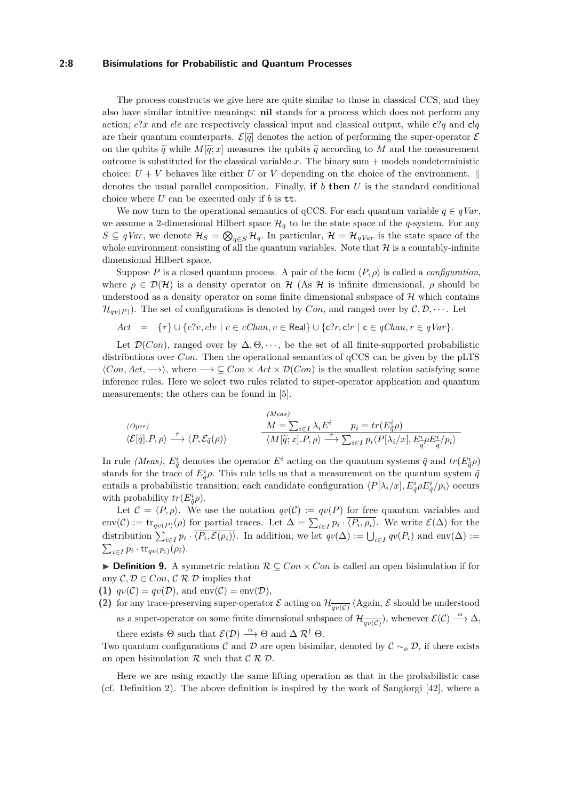#### **2:8 Bisimulations for Probabilistic and Quantum Processes**

The process constructs we give here are quite similar to those in classical CCS, and they also have similar intuitive meanings: **nil** stands for a process which does not perform any action; *c*?*x* and *c*!*e* are respectively classical input and classical output, while c?*q* and c!*q* are their quantum counterparts.  $\mathcal{E}[\tilde{q}]$  denotes the action of performing the super-operator  $\mathcal{E}$ on the qubits  $\tilde{q}$  while  $M[\tilde{q}; x]$  measures the qubits  $\tilde{q}$  according to M and the measurement outcome is substituted for the classical variable  $x$ . The binary sum  $+$  models nondeterministic choice:  $U + V$  behaves like either *U* or *V* depending on the choice of the environment.  $\parallel$ denotes the usual parallel composition. Finally, **if** *b* **then** *U* is the standard conditional choice where *U* can be executed only if *b* is tt.

We now turn to the operational semantics of  $qCCS$ . For each quantum variable  $q \in qVar$ , we assume a 2-dimensional Hilbert space  $\mathcal{H}_q$  to be the state space of the *q*-system. For any  $S \subseteq qVar$ , we denote  $\mathcal{H}_S = \bigotimes_{q \in S} \mathcal{H}_q$ . In particular,  $\mathcal{H} = \mathcal{H}_{qVar}$  is the state space of the whole environment consisting of all the quantum variables. Note that  $\mathcal H$  is a countably-infinite dimensional Hilbert space.

Suppose *P* is a closed quantum process. A pair of the form  $\langle P, \rho \rangle$  is called a *configuration*, where  $\rho \in \mathcal{D}(\mathcal{H})$  is a density operator on H (As H is infinite dimensional,  $\rho$  should be understood as a density operator on some finite dimensional subspace of  $\mathcal{H}$  which contains  $\mathcal{H}_{qn(P)}$ ). The set of configurations is denoted by *Con*, and ranged over by  $\mathcal{C}, \mathcal{D}, \cdots$ . Let

$$
Act = \{\tau\} \cup \{c?v, c!v \mid c \in cChan, v \in Real\} \cup \{c?r, c!r \mid c \in qChan, r \in qVar\}.
$$

Let  $\mathcal{D}(Con)$ , ranged over by  $\Delta, \Theta, \dots$ , be the set of all finite-supported probabilistic distributions over *Con*. Then the operational semantics of  $qCCS$  can be given by the pLTS  $\langle Con, Act, \longrightarrow \rangle$ , where  $\longrightarrow \subseteq Con \times Act \times \mathcal{D}(Con)$  is the smallest relation satisfying some inference rules. Here we select two rules related to super-operator application and quantum measurements; the others can be found in [\[5\]](#page-11-16).

(*Open*)  
\n
$$
\langle E[\tilde{q}].P, \rho \rangle \stackrel{\tau}{\longrightarrow} \langle P, \mathcal{E}_{\tilde{q}}(\rho) \rangle
$$
\n
$$
\frac{M = \sum_{i \in I} \lambda_i E^i \quad p_i = tr(E_{\tilde{q}}^i \rho)}{\langle M[\tilde{q};x].P, \rho \rangle \stackrel{\tau}{\longrightarrow} \sum_{i \in I} p_i \langle P[\lambda_i/x], E_{\tilde{q}}^i \rho E_{\tilde{q}}^i/p_i \rangle}
$$

In rule *(Meas)*,  $E^i_{\tilde{q}}$  denotes the operator  $E^i$  acting on the quantum systems  $\tilde{q}$  and  $tr(E^i_{\tilde{q}}\rho)$ stands for the trace of  $E^i_{\tilde{q}}\rho$ . This rule tells us that a measurement on the quantum system  $\tilde{q}$ entails a probabilistic transition; each candidate configuration  $\langle P[\lambda_i/x], E^i_{\tilde{q}} \rho E^i_{\tilde{q}}/p_i \rangle$  occurs with probability  $tr(E_{\tilde{q}}^i \rho)$ .

Let  $\mathcal{C} = \langle P, \rho \rangle$ . We use the notation  $qv(\mathcal{C}) := qv(P)$  for free quantum variables and  $\text{env}(\mathcal{C}) := \text{tr}_{qv(P)}(\rho)$  for partial traces. Let  $\Delta = \sum_{i \in I} p_i \cdot \langle P_i, \rho_i \rangle$ . We write  $\mathcal{E}(\Delta)$  for the distribution  $\sum_{i\in I} p_i \cdot \langle P_i, \mathcal{E}(\rho_i) \rangle$ . In addition, we let  $qv(\Delta) := \bigcup_{i\in I} qv(P_i)$  and  $env(\Delta) :=$  $\sum_{i \in I} p_i \cdot \text{tr}_{qv(P_i)}(\rho_i).$ 

<span id="page-7-0"></span>**Definition 9.** A symmetric relation  $\mathcal{R} \subseteq Con \times Con$  is called an open bisimulation if for any  $\mathcal{C}, \mathcal{D} \in Con$ ,  $\mathcal{C} \mathcal{R} \mathcal{D}$  implies that

- **(1)**  $qv(\mathcal{C}) = qv(\mathcal{D})$ , and  $env(\mathcal{C}) = env(\mathcal{D})$ ,
- (2) for any trace-preserving super-operator  $\mathcal E$  acting on  $\mathcal H_{\overline{qv(\mathcal C)}}$  (Again,  $\mathcal E$  should be understood as a super-operator on some finite dimensional subspace of  $\mathcal{H}_{\overline{qv(C)}}$ , whenever  $\mathcal{E}(\mathcal{C}) \stackrel{\alpha}{\longrightarrow} \Delta$ , there exists  $\Theta$  such that  $\mathcal{E}(\mathcal{D}) \stackrel{\alpha}{\longrightarrow} \Theta$  and  $\Delta \mathcal{R}^{\dagger} \Theta$ .

Two quantum configurations C and D are open bisimilar, denoted by  $\mathcal{C} \sim_{o} \mathcal{D}$ , if there exists an open bisimulation  $R$  such that  $C R D$ .

Here we are using exactly the same lifting operation as that in the probabilistic case (cf. Definition [2\)](#page-3-0). The above definition is inspired by the work of Sangiorgi [\[42\]](#page-13-7), where a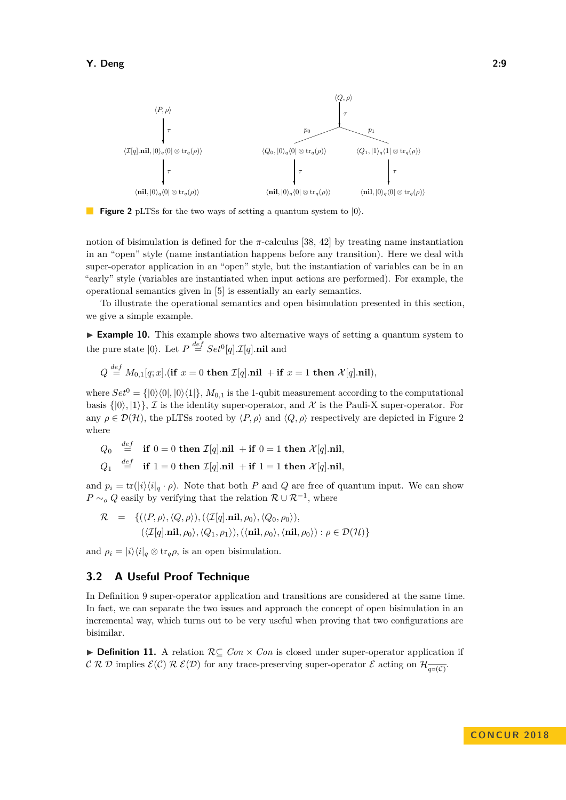<span id="page-8-0"></span>

**Figure 2** pLTSs for the two ways of setting a quantum system to  $|0\rangle$ .

notion of bisimulation is defined for the  $\pi$ -calculus [\[38,](#page-12-17) [42\]](#page-13-7) by treating name instantiation in an "open" style (name instantiation happens before any transition). Here we deal with super-operator application in an "open" style, but the instantiation of variables can be in an "early" style (variables are instantiated when input actions are performed). For example, the operational semantics given in [\[5\]](#page-11-16) is essentially an early semantics.

To illustrate the operational semantics and open bisimulation presented in this section, we give a simple example.

► **Example 10.** This example shows two alternative ways of setting a quantum system to the pure state  $|0\rangle$ . Let  $P \stackrel{def}{=} Set^{0}[q].\mathcal{I}[q]$ .nil and

$$
Q \stackrel{def}{=} M_{0,1}[q;x].\textbf{(if } x=0 \textbf{ then } \mathcal{I}[q].\textbf{nil } + \textbf{if } x=1 \textbf{ then } \mathcal{X}[q].\textbf{nil}),
$$

where  $Set^0 = \{ |0\rangle\langle 0|, |0\rangle\langle 1| \}, M_{0,1}$  is the 1-qubit measurement according to the computational basis  $\{|0\rangle, |1\rangle\}$ , I is the identity super-operator, and X is the Pauli-X super-operator. For any  $\rho \in \mathcal{D}(\mathcal{H})$ , the pLTSs rooted by  $\langle P, \rho \rangle$  and  $\langle Q, \rho \rangle$  respectively are depicted in Figure [2](#page-8-0) where

$$
\begin{array}{rcl}\nQ_0 & \stackrel{def}{=} & \text{if } 0 = 0 \text{ then } \mathcal{I}[q].\text{nil } + \text{if } 0 = 1 \text{ then } \mathcal{X}[q].\text{nil}, \\
Q_1 & \stackrel{def}{=} & \text{if } 1 = 0 \text{ then } \mathcal{I}[q].\text{nil } + \text{if } 1 = 1 \text{ then } \mathcal{X}[q].\text{nil},\n\end{array}
$$

and  $p_i = \text{tr}(|i\rangle\langle i|_q \cdot \rho)$ . Note that both *P* and *Q* are free of quantum input. We can show  $P \sim_o Q$  easily by verifying that the relation  $\mathcal{R} \cup \mathcal{R}^{-1}$ , where

$$
\mathcal{R} = \{ (\langle P, \rho \rangle, \langle Q, \rho \rangle), (\langle \mathcal{I}[q].\mathbf{nil}, \rho_0 \rangle, \langle Q_0, \rho_0 \rangle), (\langle \mathcal{I}[q].\mathbf{nil}, \rho_0 \rangle, \langle Q_1, \rho_1 \rangle), (\langle \mathbf{nil}, \rho_0 \rangle, \langle \mathbf{nil}, \rho_0 \rangle) : \rho \in \mathcal{D}(\mathcal{H}) \}
$$

and  $\rho_i = |i\rangle\langle i|_q \otimes \text{tr}_q\rho$ , is an open bisimulation.

## **3.2 A Useful Proof Technique**

In Definition [9](#page-7-0) super-operator application and transitions are considered at the same time. In fact, we can separate the two issues and approach the concept of open bisimulation in an incremental way, which turns out to be very useful when proving that two configurations are bisimilar.

**► Definition 11.** A relation  $\mathcal{R} \subseteq \text{Con} \times \text{Con}$  is closed under super-operator application if C R D implies  $\mathcal{E}(\mathcal{C})$  R  $\mathcal{E}(\mathcal{D})$  for any trace-preserving super-operator E acting on  $\mathcal{H}_{\overline{qv(\mathcal{C})}}$ .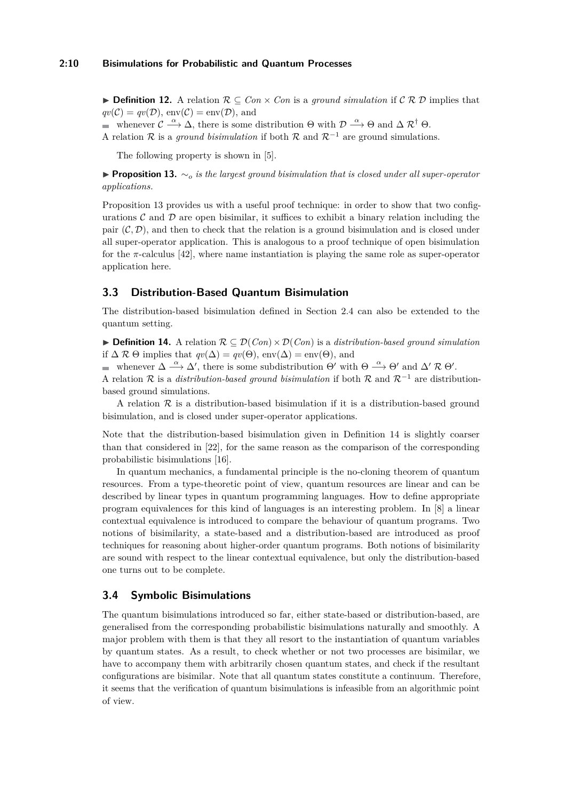**► Definition 12.** A relation  $\mathcal{R} \subseteq Con \times Con$  is a *ground simulation* if  $\mathcal{C} \mathcal{R} \mathcal{D}$  implies that  $qv(\mathcal{C}) = qv(\mathcal{D}), \text{ env}(\mathcal{C}) = \text{env}(\mathcal{D}), \text{ and}$ 

whenever  $\mathcal{C} \stackrel{\alpha}{\longrightarrow} \Delta$ , there is some distribution  $\Theta$  with  $\mathcal{D} \stackrel{\alpha}{\longrightarrow} \Theta$  and  $\Delta \mathcal{R}^{\dagger} \Theta$ .

A relation R is a *ground bisimulation* if both R and  $\mathcal{R}^{-1}$  are ground simulations.

The following property is shown in [\[5\]](#page-11-16).

<span id="page-9-0"></span>I **Proposition 13.** ∼*<sup>o</sup> is the largest ground bisimulation that is closed under all super-operator applications.*

Proposition [13](#page-9-0) provides us with a useful proof technique: in order to show that two configurations  $\mathcal C$  and  $\mathcal D$  are open bisimilar, it suffices to exhibit a binary relation including the pair  $(C, \mathcal{D})$ , and then to check that the relation is a ground bisimulation and is closed under all super-operator application. This is analogous to a proof technique of open bisimulation for the  $\pi$ -calculus [\[42\]](#page-13-7), where name instantiation is playing the same role as super-operator application here.

## **3.3 Distribution-Based Quantum Bisimulation**

The distribution-based bisimulation defined in Section [2.4](#page-5-0) can also be extended to the quantum setting.

<span id="page-9-1"></span>**► Definition 14.** A relation  $\mathcal{R} \subseteq \mathcal{D}(Con) \times \mathcal{D}(Con)$  is a *distribution-based ground simulation* if  $\Delta \mathcal{R} \Theta$  implies that  $qv(\Delta) = qv(\Theta)$ , env $(\Delta) = env(\Theta)$ , and

whenever  $\Delta \stackrel{\alpha}{\longrightarrow} \Delta'$ , there is some subdistribution  $\Theta'$  with  $\Theta \stackrel{\alpha}{\longrightarrow} \Theta'$  and  $\Delta' \mathcal{R} \Theta'$ .

A relation R is a *distribution-based ground bisimulation* if both R and  $\mathcal{R}^{-1}$  are distributionbased ground simulations.

A relation  $\mathcal R$  is a distribution-based bisimulation if it is a distribution-based ground bisimulation, and is closed under super-operator applications.

Note that the distribution-based bisimulation given in Definition [14](#page-9-1) is slightly coarser than that considered in [\[22\]](#page-12-18), for the same reason as the comparison of the corresponding probabilistic bisimulations [\[16\]](#page-11-13).

In quantum mechanics, a fundamental principle is the no-cloning theorem of quantum resources. From a type-theoretic point of view, quantum resources are linear and can be described by linear types in quantum programming languages. How to define appropriate program equivalences for this kind of languages is an interesting problem. In [\[8\]](#page-11-7) a linear contextual equivalence is introduced to compare the behaviour of quantum programs. Two notions of bisimilarity, a state-based and a distribution-based are introduced as proof techniques for reasoning about higher-order quantum programs. Both notions of bisimilarity are sound with respect to the linear contextual equivalence, but only the distribution-based one turns out to be complete.

## <span id="page-9-2"></span>**3.4 Symbolic Bisimulations**

The quantum bisimulations introduced so far, either state-based or distribution-based, are generalised from the corresponding probabilistic bisimulations naturally and smoothly. A major problem with them is that they all resort to the instantiation of quantum variables by quantum states. As a result, to check whether or not two processes are bisimilar, we have to accompany them with arbitrarily chosen quantum states, and check if the resultant configurations are bisimilar. Note that all quantum states constitute a continuum. Therefore, it seems that the verification of quantum bisimulations is infeasible from an algorithmic point of view.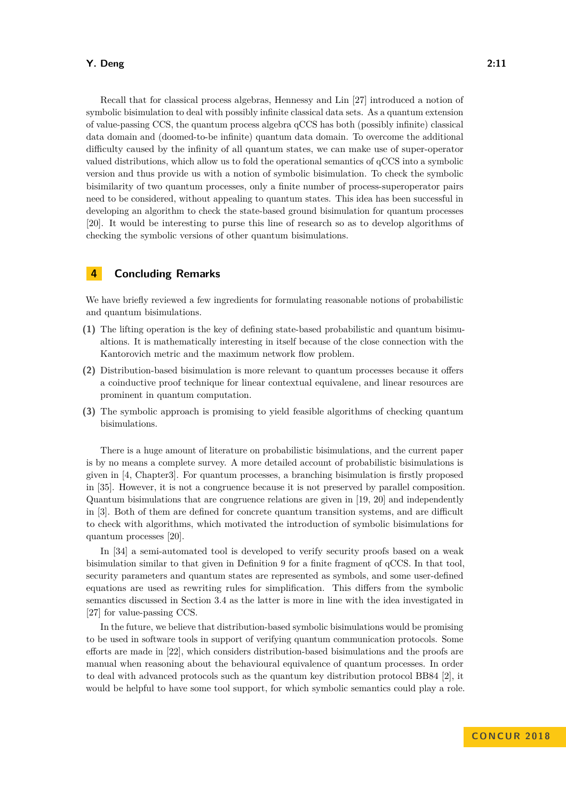#### **Y. Deng 2:11**

Recall that for classical process algebras, Hennessy and Lin [\[27\]](#page-12-19) introduced a notion of symbolic bisimulation to deal with possibly infinite classical data sets. As a quantum extension of value-passing CCS, the quantum process algebra qCCS has both (possibly infinite) classical data domain and (doomed-to-be infinite) quantum data domain. To overcome the additional difficulty caused by the infinity of all quantum states, we can make use of super-operator valued distributions, which allow us to fold the operational semantics of qCCS into a symbolic version and thus provide us with a notion of symbolic bisimulation. To check the symbolic bisimilarity of two quantum processes, only a finite number of process-superoperator pairs need to be considered, without appealing to quantum states. This idea has been successful in developing an algorithm to check the state-based ground bisimulation for quantum processes [\[20\]](#page-12-9). It would be interesting to purse this line of research so as to develop algorithms of checking the symbolic versions of other quantum bisimulations.

# <span id="page-10-0"></span>**4 Concluding Remarks**

We have briefly reviewed a few ingredients for formulating reasonable notions of probabilistic and quantum bisimulations.

- **(1)** The lifting operation is the key of defining state-based probabilistic and quantum bisimualtions. It is mathematically interesting in itself because of the close connection with the Kantorovich metric and the maximum network flow problem.
- **(2)** Distribution-based bisimulation is more relevant to quantum processes because it offers a coinductive proof technique for linear contextual equivalene, and linear resources are prominent in quantum computation.
- **(3)** The symbolic approach is promising to yield feasible algorithms of checking quantum bisimulations.

There is a huge amount of literature on probabilistic bisimulations, and the current paper is by no means a complete survey. A more detailed account of probabilistic bisimulations is given in [\[4,](#page-11-5) Chapter3]. For quantum processes, a branching bisimulation is firstly proposed in [\[35\]](#page-12-20). However, it is not a congruence because it is not preserved by parallel composition. Quantum bisimulations that are congruence relations are given in [\[19,](#page-11-15) [20\]](#page-12-9) and independently in [\[3\]](#page-11-17). Both of them are defined for concrete quantum transition systems, and are difficult to check with algorithms, which motivated the introduction of symbolic bisimulations for quantum processes [\[20\]](#page-12-9).

In [\[34\]](#page-12-21) a semi-automated tool is developed to verify security proofs based on a weak bisimulation similar to that given in Definition [9](#page-7-0) for a finite fragment of qCCS. In that tool, security parameters and quantum states are represented as symbols, and some user-defined equations are used as rewriting rules for simplification. This differs from the symbolic semantics discussed in Section [3.4](#page-9-2) as the latter is more in line with the idea investigated in [\[27\]](#page-12-19) for value-passing CCS.

In the future, we believe that distribution-based symbolic bisimulations would be promising to be used in software tools in support of verifying quantum communication protocols. Some efforts are made in [\[22\]](#page-12-18), which considers distribution-based bisimulations and the proofs are manual when reasoning about the behavioural equivalence of quantum processes. In order to deal with advanced protocols such as the quantum key distribution protocol BB84 [\[2\]](#page-11-18), it would be helpful to have some tool support, for which symbolic semantics could play a role.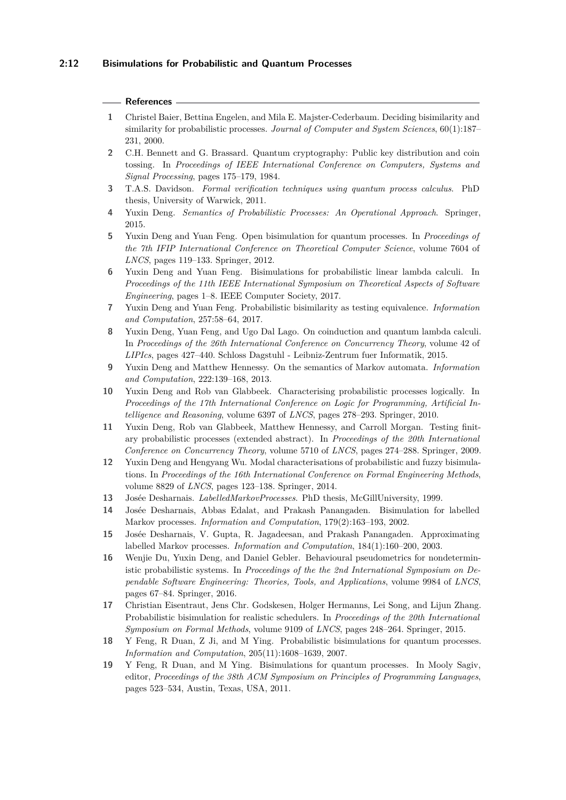### **2:12 Bisimulations for Probabilistic and Quantum Processes**

#### **References**

- <span id="page-11-0"></span>**1** Christel Baier, Bettina Engelen, and Mila E. Majster-Cederbaum. Deciding bisimilarity and similarity for probabilistic processes. *Journal of Computer and System Sciences*, 60(1):187– 231, 2000.
- <span id="page-11-18"></span>**2** C.H. Bennett and G. Brassard. Quantum cryptography: Public key distribution and coin tossing. In *Proceedings of IEEE International Conference on Computers, Systems and Signal Processing*, pages 175–179, 1984.
- <span id="page-11-17"></span>**3** T.A.S. Davidson. *Formal verification techniques using quantum process calculus*. PhD thesis, University of Warwick, 2011.
- <span id="page-11-5"></span>**4** Yuxin Deng. *Semantics of Probabilistic Processes: An Operational Approach*. Springer, 2015.
- <span id="page-11-16"></span>**5** Yuxin Deng and Yuan Feng. Open bisimulation for quantum processes. In *Proceedings of the 7th IFIP International Conference on Theoretical Computer Science*, volume 7604 of *LNCS*, pages 119–133. Springer, 2012.
- <span id="page-11-10"></span>**6** Yuxin Deng and Yuan Feng. Bisimulations for probabilistic linear lambda calculi. In *Proceedings of the 11th IEEE International Symposium on Theoretical Aspects of Software Engineering*, pages 1–8. IEEE Computer Society, 2017.
- <span id="page-11-6"></span>**7** Yuxin Deng and Yuan Feng. Probabilistic bisimilarity as testing equivalence. *Information and Computation*, 257:58–64, 2017.
- <span id="page-11-7"></span>**8** Yuxin Deng, Yuan Feng, and Ugo Dal Lago. On coinduction and quantum lambda calculi. In *Proceedings of the 26th International Conference on Concurrency Theory*, volume 42 of *LIPIcs*, pages 427–440. Schloss Dagstuhl - Leibniz-Zentrum fuer Informatik, 2015.
- <span id="page-11-11"></span>**9** Yuxin Deng and Matthew Hennessy. On the semantics of Markov automata. *Information and Computation*, 222:139–168, 2013.
- <span id="page-11-3"></span>**10** Yuxin Deng and Rob van Glabbeek. Characterising probabilistic processes logically. In *Proceedings of the 17th International Conference on Logic for Programming, Artificial Intelligence and Reasoning*, volume 6397 of *LNCS*, pages 278–293. Springer, 2010.
- <span id="page-11-8"></span>**11** Yuxin Deng, Rob van Glabbeek, Matthew Hennessy, and Carroll Morgan. Testing finitary probabilistic processes (extended abstract). In *Proceedings of the 20th International Conference on Concurrency Theory*, volume 5710 of *LNCS*, pages 274–288. Springer, 2009.
- <span id="page-11-4"></span>**12** Yuxin Deng and Hengyang Wu. Modal characterisations of probabilistic and fuzzy bisimulations. In *Proceedings of the 16th International Conference on Formal Engineering Methods*, volume 8829 of *LNCS*, pages 123–138. Springer, 2014.
- <span id="page-11-9"></span>**13** Josée Desharnais. *LabelledMarkovProcesses*. PhD thesis, McGillUniversity, 1999.
- <span id="page-11-1"></span>**14** Josée Desharnais, Abbas Edalat, and Prakash Panangaden. Bisimulation for labelled Markov processes. *Information and Computation*, 179(2):163–193, 2002.
- <span id="page-11-2"></span>**15** Josée Desharnais, V. Gupta, R. Jagadeesan, and Prakash Panangaden. Approximating labelled Markov processes. *Information and Computation*, 184(1):160–200, 2003.
- <span id="page-11-13"></span>**16** Wenjie Du, Yuxin Deng, and Daniel Gebler. Behavioural pseudometrics for nondeterministic probabilistic systems. In *Proceedings of the the 2nd International Symposium on Dependable Software Engineering: Theories, Tools, and Applications*, volume 9984 of *LNCS*, pages 67–84. Springer, 2016.
- <span id="page-11-12"></span>**17** Christian Eisentraut, Jens Chr. Godskesen, Holger Hermanns, Lei Song, and Lijun Zhang. Probabilistic bisimulation for realistic schedulers. In *Proceedings of the 20th International Symposium on Formal Methods*, volume 9109 of *LNCS*, pages 248–264. Springer, 2015.
- <span id="page-11-14"></span>**18** Y Feng, R Duan, Z Ji, and M Ying. Probabilistic bisimulations for quantum processes. *Information and Computation*, 205(11):1608–1639, 2007.
- <span id="page-11-15"></span>**19** Y Feng, R Duan, and M Ying. Bisimulations for quantum processes. In Mooly Sagiv, editor, *Proceedings of the 38th ACM Symposium on Principles of Programming Languages*, pages 523–534, Austin, Texas, USA, 2011.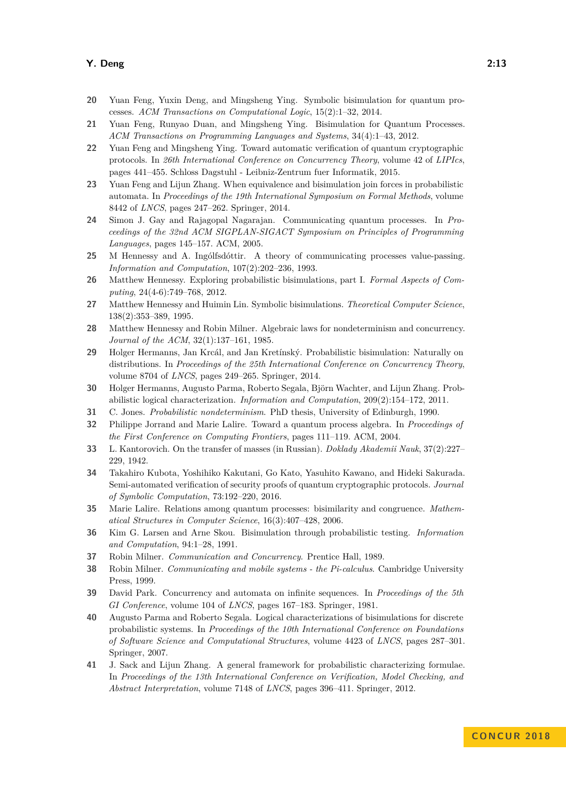#### **Y. Deng 2:13**

- <span id="page-12-9"></span>**20** Yuan Feng, Yuxin Deng, and Mingsheng Ying. Symbolic bisimulation for quantum processes. *ACM Transactions on Computational Logic*, 15(2):1–32, 2014.
- <span id="page-12-14"></span>**21** Yuan Feng, Runyao Duan, and Mingsheng Ying. Bisimulation for Quantum Processes. *ACM Transactions on Programming Languages and Systems*, 34(4):1–43, 2012.
- <span id="page-12-18"></span>**22** Yuan Feng and Mingsheng Ying. Toward automatic verification of quantum cryptographic protocols. In *26th International Conference on Concurrency Theory*, volume 42 of *LIPIcs*, pages 441–455. Schloss Dagstuhl - Leibniz-Zentrum fuer Informatik, 2015.
- <span id="page-12-11"></span>**23** Yuan Feng and Lijun Zhang. When equivalence and bisimulation join forces in probabilistic automata. In *Proceedings of the 19th International Symposium on Formal Methods*, volume 8442 of *LNCS*, pages 247–262. Springer, 2014.
- <span id="page-12-15"></span>**24** Simon J. Gay and Rajagopal Nagarajan. Communicating quantum processes. In *Proceedings of the 32nd ACM SIGPLAN-SIGACT Symposium on Principles of Programming Languages*, pages 145–157. ACM, 2005.
- <span id="page-12-13"></span>**25** M Hennessy and A. Ingólfsdóttir. A theory of communicating processes value-passing. *Information and Computation*, 107(2):202–236, 1993.
- <span id="page-12-7"></span>**26** Matthew Hennessy. Exploring probabilistic bisimulations, part I. *Formal Aspects of Computing*, 24(4-6):749–768, 2012.
- <span id="page-12-19"></span>**27** Matthew Hennessy and Huimin Lin. Symbolic bisimulations. *Theoretical Computer Science*, 138(2):353–389, 1995.
- <span id="page-12-4"></span>**28** Matthew Hennessy and Robin Milner. Algebraic laws for nondeterminism and concurrency. *Journal of the ACM*, 32(1):137–161, 1985.
- <span id="page-12-12"></span>**29** Holger Hermanns, Jan Krcál, and Jan Kretínský. Probabilistic bisimulation: Naturally on distributions. In *Proceedings of the 25th International Conference on Concurrency Theory*, volume 8704 of *LNCS*, pages 249–265. Springer, 2014.
- <span id="page-12-6"></span>**30** Holger Hermanns, Augusto Parma, Roberto Segala, Björn Wachter, and Lijun Zhang. Probabilistic logical characterization. *Information and Computation*, 209(2):154–172, 2011.
- <span id="page-12-8"></span>**31** C. Jones. *Probabilistic nondeterminism*. PhD thesis, University of Edinburgh, 1990.
- <span id="page-12-16"></span>**32** Philippe Jorrand and Marie Lalire. Toward a quantum process algebra. In *Proceedings of the First Conference on Computing Frontiers*, pages 111–119. ACM, 2004.
- <span id="page-12-3"></span>**33** L. Kantorovich. On the transfer of masses (in Russian). *Doklady Akademii Nauk*, 37(2):227– 229, 1942.
- <span id="page-12-21"></span>**34** Takahiro Kubota, Yoshihiko Kakutani, Go Kato, Yasuhito Kawano, and Hideki Sakurada. Semi-automated verification of security proofs of quantum cryptographic protocols. *Journal of Symbolic Computation*, 73:192–220, 2016.
- <span id="page-12-20"></span>**35** Marie Lalire. Relations among quantum processes: bisimilarity and congruence. *Mathematical Structures in Computer Science*, 16(3):407–428, 2006.
- <span id="page-12-2"></span>**36** Kim G. Larsen and Arne Skou. Bisimulation through probabilistic testing. *Information and Computation*, 94:1–28, 1991.
- <span id="page-12-1"></span>**37** Robin Milner. *Communication and Concurrency*. Prentice Hall, 1989.
- <span id="page-12-17"></span>**38** Robin Milner. *Communicating and mobile systems - the Pi-calculus*. Cambridge University Press, 1999.
- <span id="page-12-0"></span>**39** David Park. Concurrency and automata on infinite sequences. In *Proceedings of the 5th GI Conference*, volume 104 of *LNCS*, pages 167–183. Springer, 1981.
- <span id="page-12-5"></span>**40** Augusto Parma and Roberto Segala. Logical characterizations of bisimulations for discrete probabilistic systems. In *Proceedings of the 10th International Conference on Foundations of Software Science and Computational Structures*, volume 4423 of *LNCS*, pages 287–301. Springer, 2007.
- <span id="page-12-10"></span>**41** J. Sack and Lijun Zhang. A general framework for probabilistic characterizing formulae. In *Proceedings of the 13th International Conference on Verification, Model Checking, and Abstract Interpretation*, volume 7148 of *LNCS*, pages 396–411. Springer, 2012.